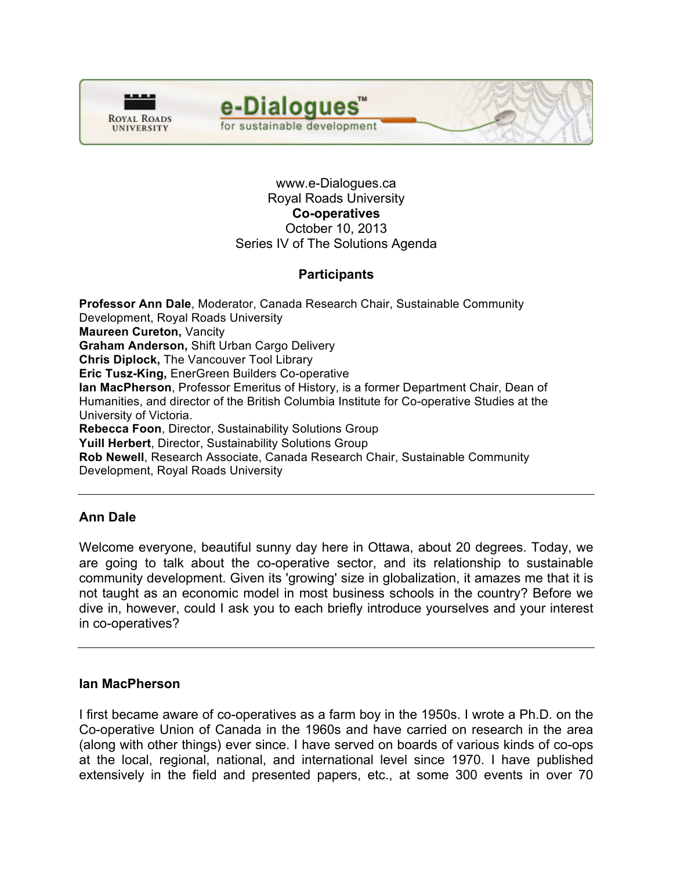



www.e-Dialogues.ca Royal Roads University **Co-operatives** October 10, 2013 Series IV of The Solutions Agenda

# **Participants**

**Professor Ann Dale**, Moderator, Canada Research Chair, Sustainable Community Development, Royal Roads University **Maureen Cureton,** Vancity **Graham Anderson,** Shift Urban Cargo Delivery **Chris Diplock,** The Vancouver Tool Library **Eric Tusz-King,** EnerGreen Builders Co-operative **Ian MacPherson**, Professor Emeritus of History, is a former Department Chair, Dean of Humanities, and director of the British Columbia Institute for Co-operative Studies at the University of Victoria. **Rebecca Foon**, Director, Sustainability Solutions Group **Yuill Herbert**, Director, Sustainability Solutions Group **Rob Newell**, Research Associate, Canada Research Chair, Sustainable Community Development, Royal Roads University

# **Ann Dale**

Welcome everyone, beautiful sunny day here in Ottawa, about 20 degrees. Today, we are going to talk about the co-operative sector, and its relationship to sustainable community development. Given its 'growing' size in globalization, it amazes me that it is not taught as an economic model in most business schools in the country? Before we dive in, however, could I ask you to each briefly introduce yourselves and your interest in co-operatives?

### **Ian MacPherson**

I first became aware of co-operatives as a farm boy in the 1950s. I wrote a Ph.D. on the Co-operative Union of Canada in the 1960s and have carried on research in the area (along with other things) ever since. I have served on boards of various kinds of co-ops at the local, regional, national, and international level since 1970. I have published extensively in the field and presented papers, etc., at some 300 events in over 70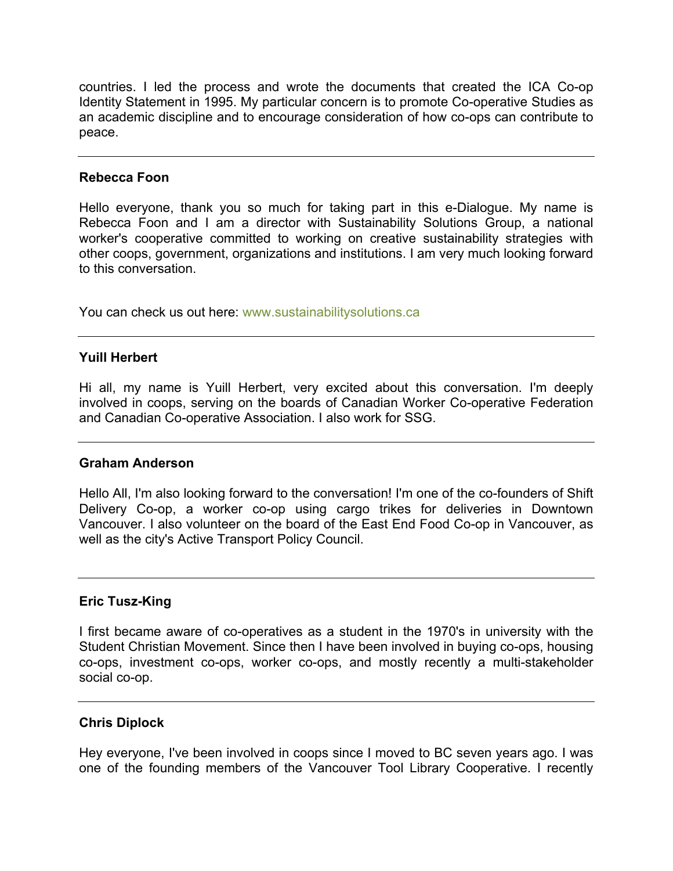countries. I led the process and wrote the documents that created the ICA Co-op Identity Statement in 1995. My particular concern is to promote Co-operative Studies as an academic discipline and to encourage consideration of how co-ops can contribute to peace.

### **Rebecca Foon**

Hello everyone, thank you so much for taking part in this e-Dialogue. My name is Rebecca Foon and I am a director with Sustainability Solutions Group, a national worker's cooperative committed to working on creative sustainability strategies with other coops, government, organizations and institutions. I am very much looking forward to this conversation.

You can check us out here: www.sustainabilitysolutions.ca

## **Yuill Herbert**

Hi all, my name is Yuill Herbert, very excited about this conversation. I'm deeply involved in coops, serving on the boards of Canadian Worker Co-operative Federation and Canadian Co-operative Association. I also work for SSG.

### **Graham Anderson**

Hello All, I'm also looking forward to the conversation! I'm one of the co-founders of Shift Delivery Co-op, a worker co-op using cargo trikes for deliveries in Downtown Vancouver. I also volunteer on the board of the East End Food Co-op in Vancouver, as well as the city's Active Transport Policy Council.

## **Eric Tusz-King**

I first became aware of co-operatives as a student in the 1970's in university with the Student Christian Movement. Since then I have been involved in buying co-ops, housing co-ops, investment co-ops, worker co-ops, and mostly recently a multi-stakeholder social co-op.

### **Chris Diplock**

Hey everyone, I've been involved in coops since I moved to BC seven years ago. I was one of the founding members of the Vancouver Tool Library Cooperative. I recently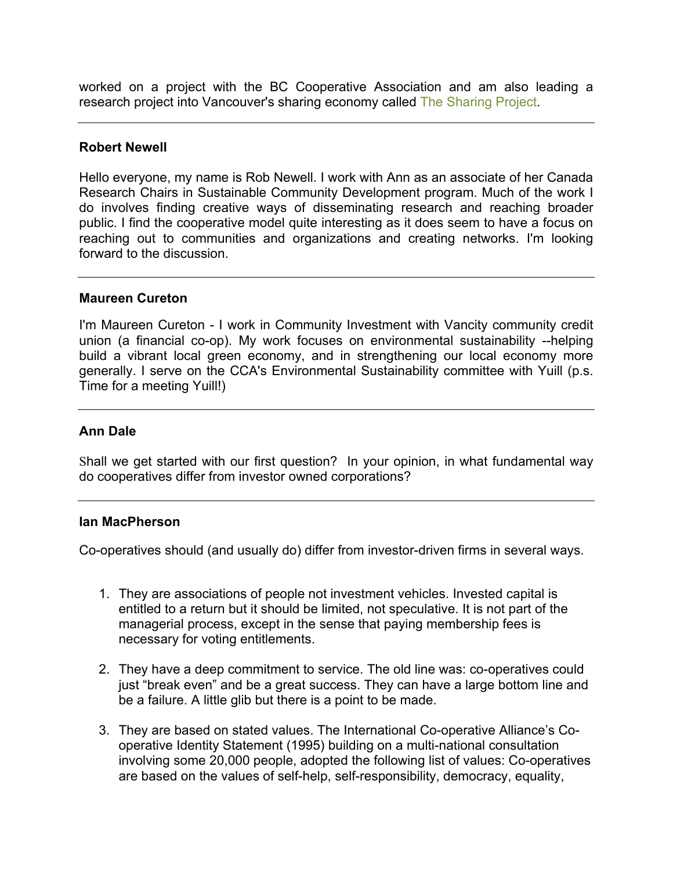worked on a project with the BC Cooperative Association and am also leading a research project into Vancouver's sharing economy called [The Sharing Project.](www.thesharingproject.ca)

### **Robert Newell**

Hello everyone, my name is Rob Newell. I work with Ann as an associate of her Canada Research Chairs in Sustainable Community Development program. Much of the work I do involves finding creative ways of disseminating research and reaching broader public. I find the cooperative model quite interesting as it does seem to have a focus on reaching out to communities and organizations and creating networks. I'm looking forward to the discussion.

#### **Maureen Cureton**

I'm Maureen Cureton - I work in Community Investment with Vancity community credit union (a financial co-op). My work focuses on environmental sustainability --helping build a vibrant local green economy, and in strengthening our local economy more generally. I serve on the CCA's Environmental Sustainability committee with Yuill (p.s. Time for a meeting Yuill!)

### **Ann Dale**

Shall we get started with our first question? In your opinion, in what fundamental way do cooperatives differ from investor owned corporations?

### **Ian MacPherson**

Co-operatives should (and usually do) differ from investor-driven firms in several ways.

- 1. They are associations of people not investment vehicles. Invested capital is entitled to a return but it should be limited, not speculative. It is not part of the managerial process, except in the sense that paying membership fees is necessary for voting entitlements.
- 2. They have a deep commitment to service. The old line was: co-operatives could just "break even" and be a great success. They can have a large bottom line and be a failure. A little glib but there is a point to be made.
- 3. They are based on stated values. The International Co-operative Alliance's Cooperative Identity Statement (1995) building on a multi-national consultation involving some 20,000 people, adopted the following list of values: Co-operatives are based on the values of self-help, self-responsibility, democracy, equality,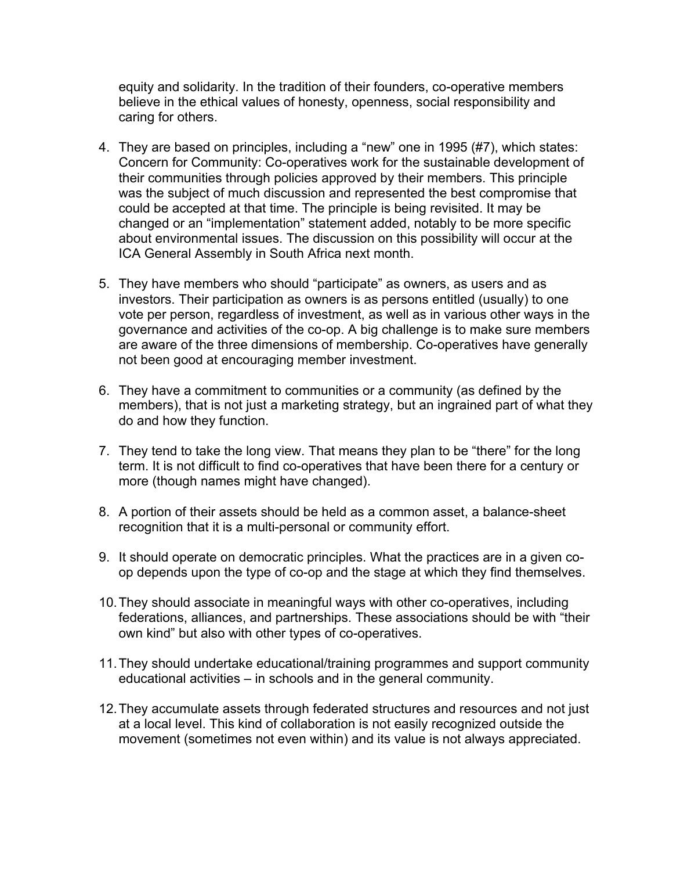equity and solidarity. In the tradition of their founders, co-operative members believe in the ethical values of honesty, openness, social responsibility and caring for others.

- 4. They are based on principles, including a "new" one in 1995 (#7), which states: Concern for Community: Co-operatives work for the sustainable development of their communities through policies approved by their members. This principle was the subject of much discussion and represented the best compromise that could be accepted at that time. The principle is being revisited. It may be changed or an "implementation" statement added, notably to be more specific about environmental issues. The discussion on this possibility will occur at the ICA General Assembly in South Africa next month.
- 5. They have members who should "participate" as owners, as users and as investors. Their participation as owners is as persons entitled (usually) to one vote per person, regardless of investment, as well as in various other ways in the governance and activities of the co-op. A big challenge is to make sure members are aware of the three dimensions of membership. Co-operatives have generally not been good at encouraging member investment.
- 6. They have a commitment to communities or a community (as defined by the members), that is not just a marketing strategy, but an ingrained part of what they do and how they function.
- 7. They tend to take the long view. That means they plan to be "there" for the long term. It is not difficult to find co-operatives that have been there for a century or more (though names might have changed).
- 8. A portion of their assets should be held as a common asset, a balance-sheet recognition that it is a multi-personal or community effort.
- 9. It should operate on democratic principles. What the practices are in a given coop depends upon the type of co-op and the stage at which they find themselves.
- 10.They should associate in meaningful ways with other co-operatives, including federations, alliances, and partnerships. These associations should be with "their own kind" but also with other types of co-operatives.
- 11.They should undertake educational/training programmes and support community educational activities – in schools and in the general community.
- 12.They accumulate assets through federated structures and resources and not just at a local level. This kind of collaboration is not easily recognized outside the movement (sometimes not even within) and its value is not always appreciated.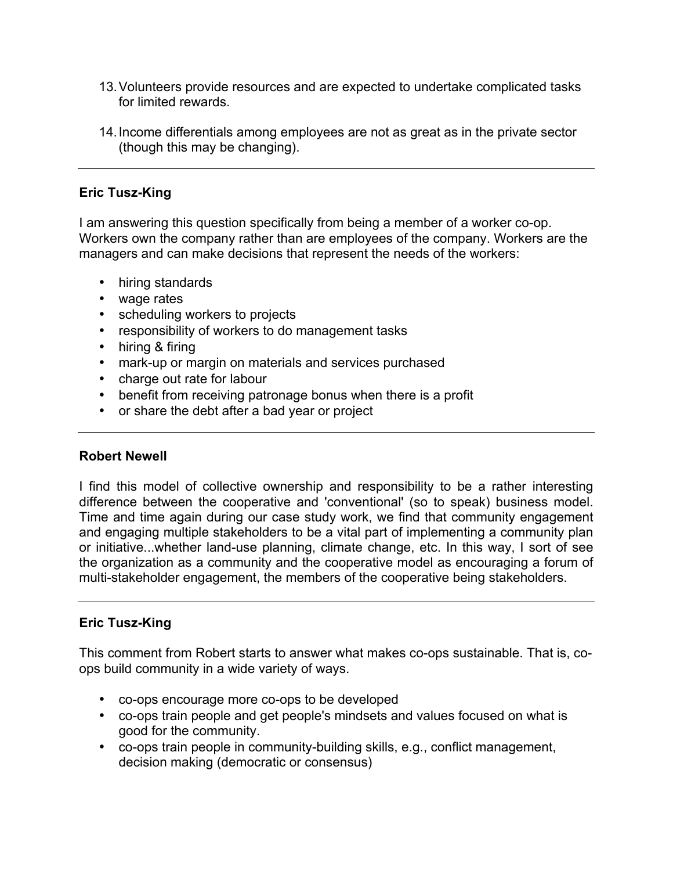- 13.Volunteers provide resources and are expected to undertake complicated tasks for limited rewards.
- 14.Income differentials among employees are not as great as in the private sector (though this may be changing).

## **Eric Tusz-King**

I am answering this question specifically from being a member of a worker co-op. Workers own the company rather than are employees of the company. Workers are the managers and can make decisions that represent the needs of the workers:

- hiring standards
- wage rates
- scheduling workers to projects
- responsibility of workers to do management tasks
- hiring & firing
- mark-up or margin on materials and services purchased
- charge out rate for labour
- benefit from receiving patronage bonus when there is a profit
- or share the debt after a bad year or project

## **Robert Newell**

I find this model of collective ownership and responsibility to be a rather interesting difference between the cooperative and 'conventional' (so to speak) business model. Time and time again during our case study work, we find that community engagement and engaging multiple stakeholders to be a vital part of implementing a community plan or initiative...whether land-use planning, climate change, etc. In this way, I sort of see the organization as a community and the cooperative model as encouraging a forum of multi-stakeholder engagement, the members of the cooperative being stakeholders.

## **Eric Tusz-King**

This comment from Robert starts to answer what makes co-ops sustainable. That is, coops build community in a wide variety of ways.

- co-ops encourage more co-ops to be developed
- co-ops train people and get people's mindsets and values focused on what is good for the community.
- co-ops train people in community-building skills, e.g., conflict management, decision making (democratic or consensus)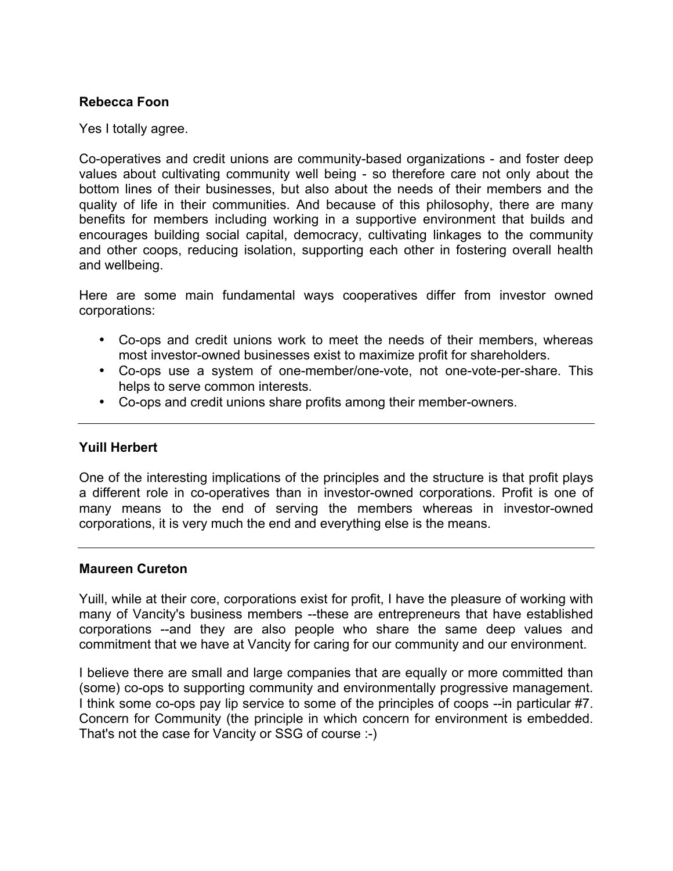## **Rebecca Foon**

Yes I totally agree.

Co-operatives and credit unions are community-based organizations - and foster deep values about cultivating community well being - so therefore care not only about the bottom lines of their businesses, but also about the needs of their members and the quality of life in their communities. And because of this philosophy, there are many benefits for members including working in a supportive environment that builds and encourages building social capital, democracy, cultivating linkages to the community and other coops, reducing isolation, supporting each other in fostering overall health and wellbeing.

Here are some main fundamental ways cooperatives differ from investor owned corporations:

- Co-ops and credit unions work to meet the needs of their members, whereas most investor-owned businesses exist to maximize profit for shareholders.
- Co-ops use a system of one-member/one-vote, not one-vote-per-share. This helps to serve common interests.
- Co-ops and credit unions share profits among their member-owners.

## **Yuill Herbert**

One of the interesting implications of the principles and the structure is that profit plays a different role in co-operatives than in investor-owned corporations. Profit is one of many means to the end of serving the members whereas in investor-owned corporations, it is very much the end and everything else is the means.

### **Maureen Cureton**

Yuill, while at their core, corporations exist for profit, I have the pleasure of working with many of Vancity's business members --these are entrepreneurs that have established corporations --and they are also people who share the same deep values and commitment that we have at Vancity for caring for our community and our environment.

I believe there are small and large companies that are equally or more committed than (some) co-ops to supporting community and environmentally progressive management. I think some co-ops pay lip service to some of the principles of coops --in particular #7. Concern for Community (the principle in which concern for environment is embedded. That's not the case for Vancity or SSG of course :-)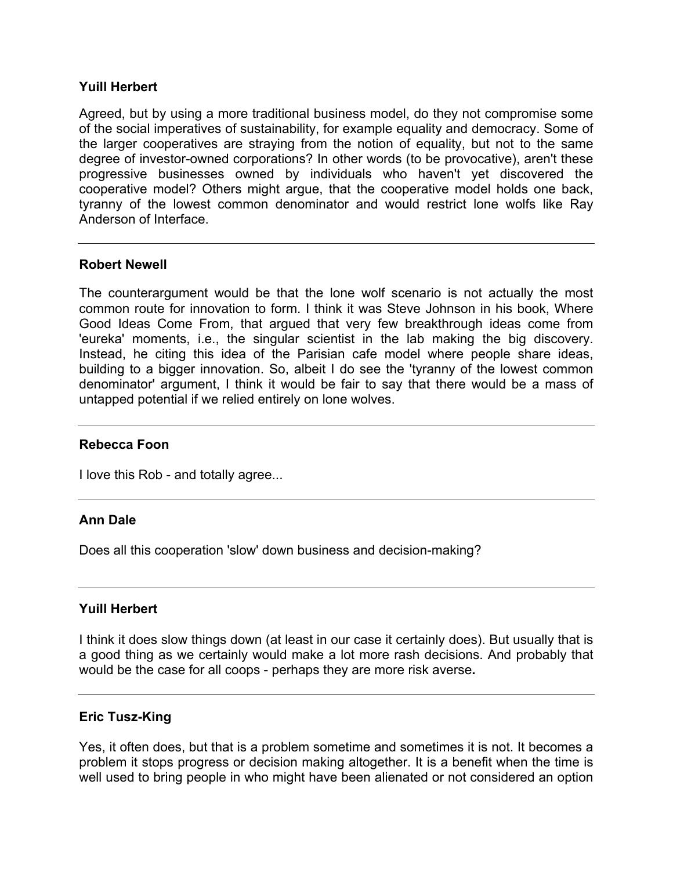## **Yuill Herbert**

Agreed, but by using a more traditional business model, do they not compromise some of the social imperatives of sustainability, for example equality and democracy. Some of the larger cooperatives are straying from the notion of equality, but not to the same degree of investor-owned corporations? In other words (to be provocative), aren't these progressive businesses owned by individuals who haven't yet discovered the cooperative model? Others might argue, that the cooperative model holds one back, tyranny of the lowest common denominator and would restrict lone wolfs like Ray Anderson of Interface.

### **Robert Newell**

The counterargument would be that the lone wolf scenario is not actually the most common route for innovation to form. I think it was Steve Johnson in his book, Where Good Ideas Come From, that argued that very few breakthrough ideas come from 'eureka' moments, i.e., the singular scientist in the lab making the big discovery. Instead, he citing this idea of the Parisian cafe model where people share ideas, building to a bigger innovation. So, albeit I do see the 'tyranny of the lowest common denominator' argument, I think it would be fair to say that there would be a mass of untapped potential if we relied entirely on lone wolves.

### **Rebecca Foon**

I love this Rob - and totally agree...

## **Ann Dale**

Does all this cooperation 'slow' down business and decision-making?

### **Yuill Herbert**

I think it does slow things down (at least in our case it certainly does). But usually that is a good thing as we certainly would make a lot more rash decisions. And probably that would be the case for all coops - perhaps they are more risk averse**.**

### **Eric Tusz-King**

Yes, it often does, but that is a problem sometime and sometimes it is not. It becomes a problem it stops progress or decision making altogether. It is a benefit when the time is well used to bring people in who might have been alienated or not considered an option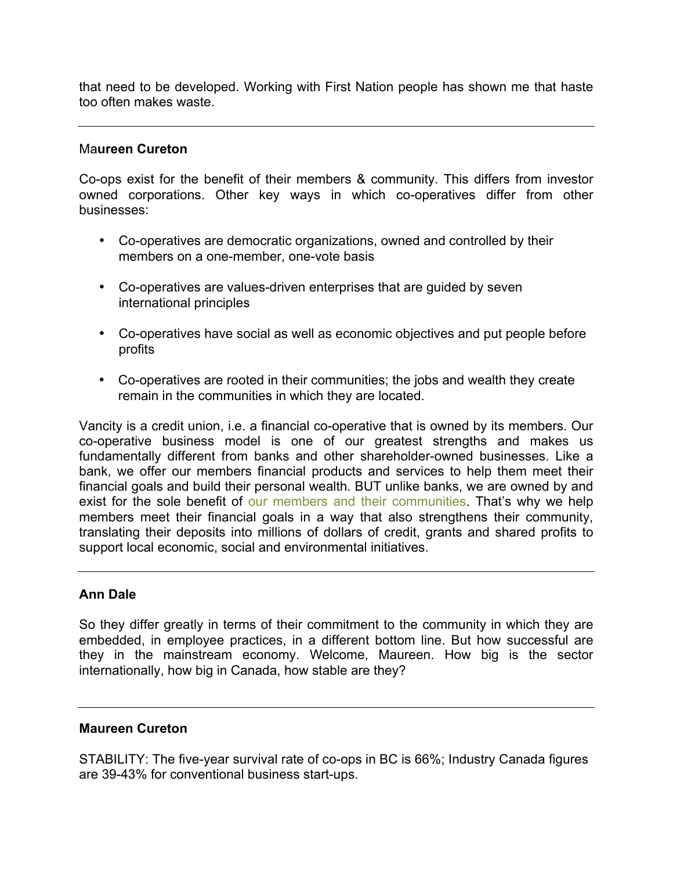that need to be developed. Working with First Nation people has shown me that haste too often makes waste.

### Ma**ureen Cureton**

Co-ops exist for the benefit of their members & community. This differs from investor owned corporations. Other key ways in which co-operatives differ from other businesses:

- Co-operatives are democratic organizations, owned and controlled by their members on a one-member, one-vote basis
- Co-operatives are values-driven enterprises that are guided by seven international principles
- Co-operatives have social as well as economic objectives and put people before profits
- Co-operatives are rooted in their communities; the jobs and wealth they create remain in the communities in which they are located.

Vancity is a credit union, i.e. a financial co-operative that is owned by its members. Our co-operative business model is one of our greatest strengths and makes us fundamentally different from banks and other shareholder-owned businesses. Like a bank, we offer our members financial products and services to help them meet their financial goals and build their personal wealth. BUT unlike banks, we are owned by and exist for the sole benefit of [our members and their communities.](https://www.vancity.com/AboutVancity/VisionAndValues/CooperativeModel/?xcid=coopesig) That's why we help members meet their financial goals in a way that also strengthens their community, translating their deposits into millions of dollars of credit, grants and shared profits to support local economic, social and environmental initiatives.

### **Ann Dale**

So they differ greatly in terms of their commitment to the community in which they are embedded, in employee practices, in a different bottom line. But how successful are they in the mainstream economy. Welcome, Maureen. How big is the sector internationally, how big in Canada, how stable are they?

### **Maureen Cureton**

STABILITY: The five-year survival rate of co-ops in BC is 66%; Industry Canada figures are 39-43% for conventional business start-ups.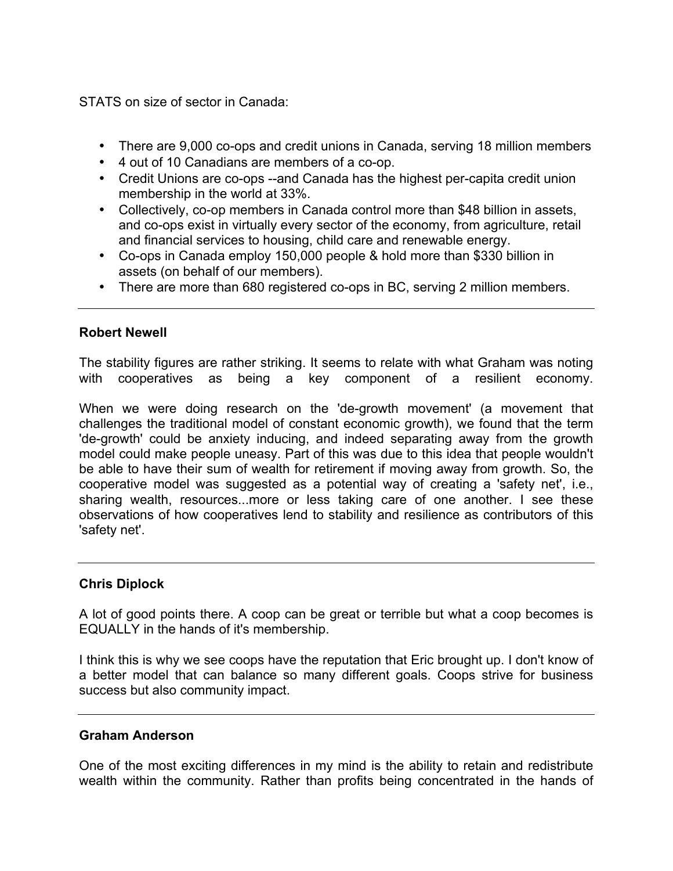STATS on size of sector in Canada:

- There are 9,000 co-ops and credit unions in Canada, serving 18 million members
- 4 out of 10 Canadians are members of a co-op.
- Credit Unions are co-ops --and Canada has the highest per-capita credit union membership in the world at 33%.
- Collectively, co-op members in Canada control more than \$48 billion in assets, and co-ops exist in virtually every sector of the economy, from agriculture, retail and financial services to housing, child care and renewable energy.
- Co-ops in Canada employ 150,000 people & hold more than \$330 billion in assets (on behalf of our members).
- There are more than 680 registered co-ops in BC, serving 2 million members.

## **Robert Newell**

The stability figures are rather striking. It seems to relate with what Graham was noting with cooperatives as being a key component of a resilient economy.

When we were doing research on the 'de-growth movement' (a movement that challenges the traditional model of constant economic growth), we found that the term 'de-growth' could be anxiety inducing, and indeed separating away from the growth model could make people uneasy. Part of this was due to this idea that people wouldn't be able to have their sum of wealth for retirement if moving away from growth. So, the cooperative model was suggested as a potential way of creating a 'safety net', i.e., sharing wealth, resources...more or less taking care of one another. I see these observations of how cooperatives lend to stability and resilience as contributors of this 'safety net'.

## **Chris Diplock**

A lot of good points there. A coop can be great or terrible but what a coop becomes is EQUALLY in the hands of it's membership.

I think this is why we see coops have the reputation that Eric brought up. I don't know of a better model that can balance so many different goals. Coops strive for business success but also community impact.

## **Graham Anderson**

One of the most exciting differences in my mind is the ability to retain and redistribute wealth within the community. Rather than profits being concentrated in the hands of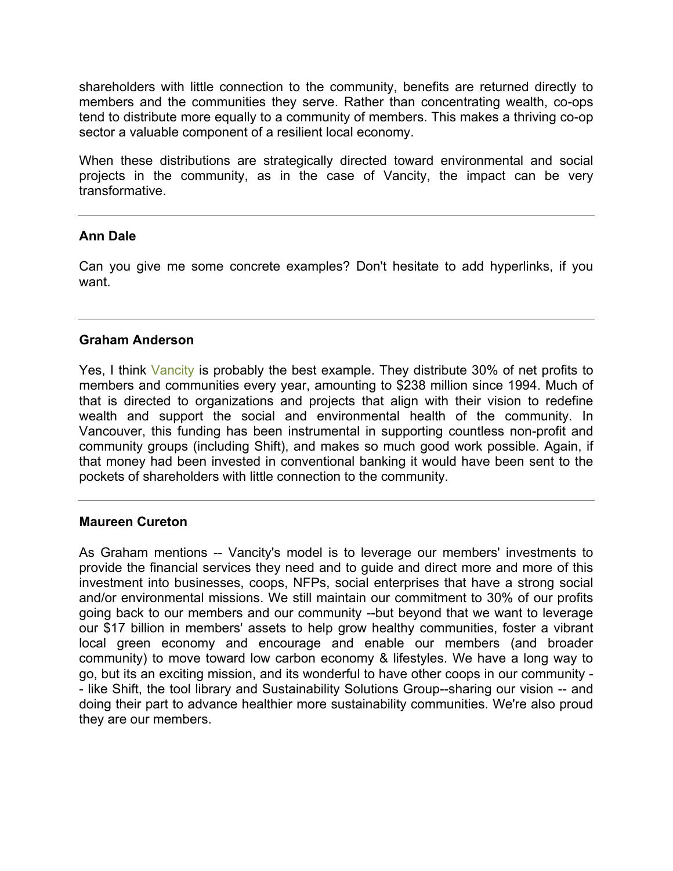shareholders with little connection to the community, benefits are returned directly to members and the communities they serve. Rather than concentrating wealth, co-ops tend to distribute more equally to a community of members. This makes a thriving co-op sector a valuable component of a resilient local economy.

When these distributions are strategically directed toward environmental and social projects in the community, as in the case of Vancity, the impact can be very transformative.

## **Ann Dale**

Can you give me some concrete examples? Don't hesitate to add hyperlinks, if you want.

### **Graham Anderson**

Yes, I think [Vancity](https://www.vancity.com/AboutVancity/InvestingInCommunities/) is probably the best example. They distribute 30% of net profits to members and communities every year, amounting to \$238 million since 1994. Much of that is directed to organizations and projects that align with their vision to redefine wealth and support the social and environmental health of the community. In Vancouver, this funding has been instrumental in supporting countless non-profit and community groups (including Shift), and makes so much good work possible. Again, if that money had been invested in conventional banking it would have been sent to the pockets of shareholders with little connection to the community.

## **Maureen Cureton**

As Graham mentions -- Vancity's model is to leverage our members' investments to provide the financial services they need and to guide and direct more and more of this investment into businesses, coops, NFPs, social enterprises that have a strong social and/or environmental missions. We still maintain our commitment to 30% of our profits going back to our members and our community --but beyond that we want to leverage our \$17 billion in members' assets to help grow healthy communities, foster a vibrant local green economy and encourage and enable our members (and broader community) to move toward low carbon economy & lifestyles. We have a long way to go, but its an exciting mission, and its wonderful to have other coops in our community - - like Shift, the tool library and Sustainability Solutions Group--sharing our vision -- and doing their part to advance healthier more sustainability communities. We're also proud they are our members.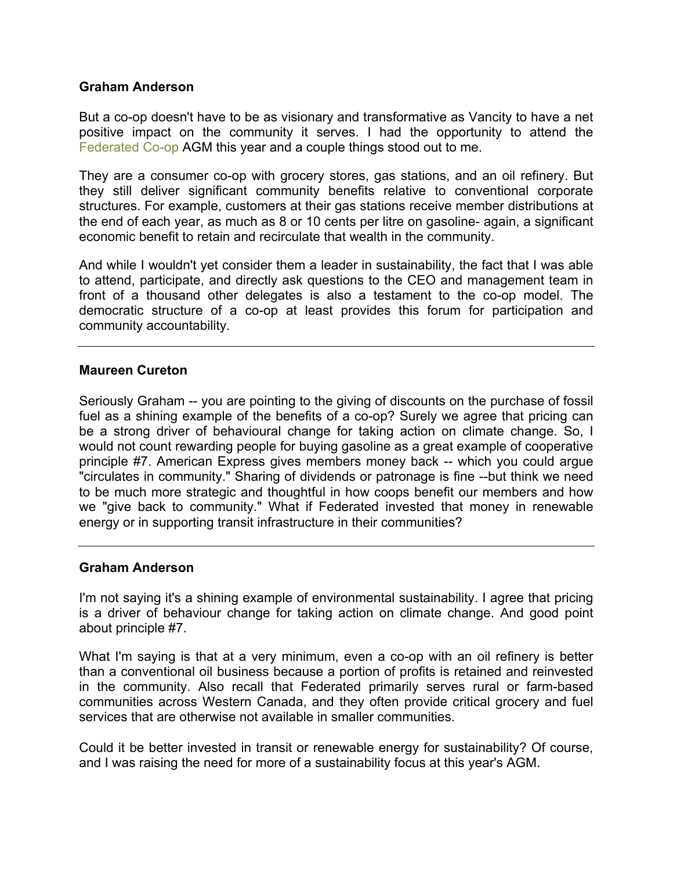### **Graham Anderson**

But a co-op doesn't have to be as visionary and transformative as Vancity to have a net positive impact on the community it serves. I had the opportunity to attend the [Federated Co-op](https://www.coopconnection.ca/wps/portal/fclretail/FCLInternet/AboutUs/FCL/) AGM this year and a couple things stood out to me.

They are a consumer co-op with grocery stores, gas stations, and an oil refinery. But they still deliver significant community benefits relative to conventional corporate structures. For example, customers at their gas stations receive member distributions at the end of each year, as much as 8 or 10 cents per litre on gasoline- again, a significant economic benefit to retain and recirculate that wealth in the community.

And while I wouldn't yet consider them a leader in sustainability, the fact that I was able to attend, participate, and directly ask questions to the CEO and management team in front of a thousand other delegates is also a testament to the co-op model. The democratic structure of a co-op at least provides this forum for participation and community accountability.

### **Maureen Cureton**

Seriously Graham -- you are pointing to the giving of discounts on the purchase of fossil fuel as a shining example of the benefits of a co-op? Surely we agree that pricing can be a strong driver of behavioural change for taking action on climate change. So, I would not count rewarding people for buying gasoline as a great example of cooperative principle #7. American Express gives members money back -- which you could argue "circulates in community." Sharing of dividends or patronage is fine --but think we need to be much more strategic and thoughtful in how coops benefit our members and how we "give back to community." What if Federated invested that money in renewable energy or in supporting transit infrastructure in their communities?

### **Graham Anderson**

I'm not saying it's a shining example of environmental sustainability. I agree that pricing is a driver of behaviour change for taking action on climate change. And good point about principle #7.

What I'm saying is that at a very minimum, even a co-op with an oil refinery is better than a conventional oil business because a portion of profits is retained and reinvested in the community. Also recall that Federated primarily serves rural or farm-based communities across Western Canada, and they often provide critical grocery and fuel services that are otherwise not available in smaller communities.

Could it be better invested in transit or renewable energy for sustainability? Of course, and I was raising the need for more of a sustainability focus at this year's AGM.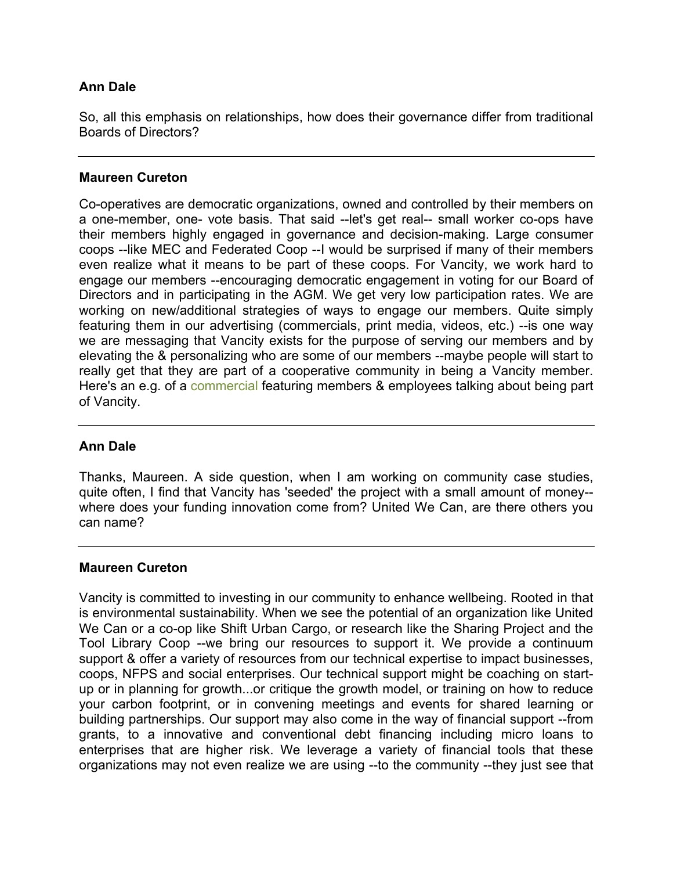## **Ann Dale**

So, all this emphasis on relationships, how does their governance differ from traditional Boards of Directors?

## **Maureen Cureton**

Co-operatives are democratic organizations, owned and controlled by their members on a one-member, one- vote basis. That said --let's get real-- small worker co-ops have their members highly engaged in governance and decision-making. Large consumer coops --like MEC and Federated Coop --I would be surprised if many of their members even realize what it means to be part of these coops. For Vancity, we work hard to engage our members --encouraging democratic engagement in voting for our Board of Directors and in participating in the AGM. We get very low participation rates. We are working on new/additional strategies of ways to engage our members. Quite simply featuring them in our advertising (commercials, print media, videos, etc.) --is one way we are messaging that Vancity exists for the purpose of serving our members and by elevating the & personalizing who are some of our members --maybe people will start to really get that they are part of a cooperative community in being a Vancity member. Here's an e.g. of a [commercial](http://www.bing.com/videos/search?q=vancity+commercials&docid=4510537201550303&mid=EB8ADCCA54DC5BFB57CBEB8ADCCA54DC5BFB57CB&view=detail&FORM=VIRE1#view=detail&mid=EB8ADCCA54DC5BFB57CBEB8ADCCA54DC5BFB57CB) featuring members & employees talking about being part of Vancity.

## **Ann Dale**

Thanks, Maureen. A side question, when I am working on community case studies, quite often, I find that Vancity has 'seeded' the project with a small amount of money- where does your funding innovation come from? United We Can, are there others you can name?

### **Maureen Cureton**

Vancity is committed to investing in our community to enhance wellbeing. Rooted in that is environmental sustainability. When we see the potential of an organization like United We Can or a co-op like Shift Urban Cargo, or research like the Sharing Project and the Tool Library Coop --we bring our resources to support it. We provide a continuum support & offer a variety of resources from our technical expertise to impact businesses, coops, NFPS and social enterprises. Our technical support might be coaching on startup or in planning for growth...or critique the growth model, or training on how to reduce your carbon footprint, or in convening meetings and events for shared learning or building partnerships. Our support may also come in the way of financial support --from grants, to a innovative and conventional debt financing including micro loans to enterprises that are higher risk. We leverage a variety of financial tools that these organizations may not even realize we are using --to the community --they just see that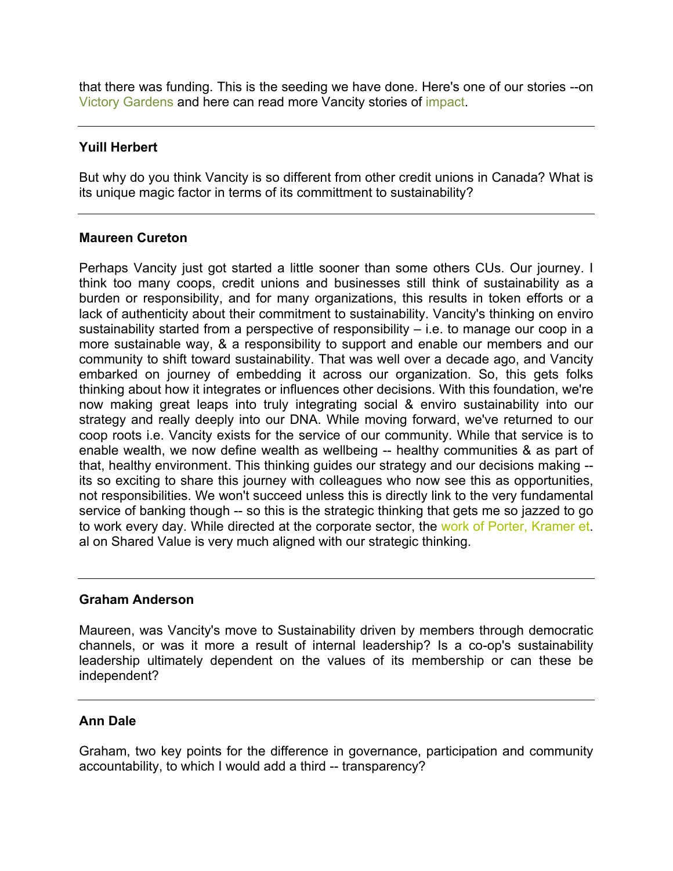that there was funding. This is the seeding we have done. Here's one of our stories --on [Victory Gardens](https://www.vancity.com/AboutVancity/InvestingInCommunities/StoriesOfImpact/Food/VictoryGardens/?xcid=business_pod_resource_victorygardens) and here can read more Vancity stories of [impact.](https://www.vancity.com/AboutVancity/InvestingInCommunities/StoriesOfImpact/)

## **Yuill Herbert**

But why do you think Vancity is so different from other credit unions in Canada? What is its unique magic factor in terms of its committment to sustainability?

### **Maureen Cureton**

Perhaps Vancity just got started a little sooner than some others CUs. Our journey. I think too many coops, credit unions and businesses still think of sustainability as a burden or responsibility, and for many organizations, this results in token efforts or a lack of authenticity about their commitment to sustainability. Vancity's thinking on enviro sustainability started from a perspective of responsibility – i.e. to manage our coop in a more sustainable way, & a responsibility to support and enable our members and our community to shift toward sustainability. That was well over a decade ago, and Vancity embarked on journey of embedding it across our organization. So, this gets folks thinking about how it integrates or influences other decisions. With this foundation, we're now making great leaps into truly integrating social & enviro sustainability into our strategy and really deeply into our DNA. While moving forward, we've returned to our coop roots i.e. Vancity exists for the service of our community. While that service is to enable wealth, we now define wealth as wellbeing -- healthy communities & as part of that, healthy environment. This thinking guides our strategy and our decisions making - its so exciting to share this journey with colleagues who now see this as opportunities, not responsibilities. We won't succeed unless this is directly link to the very fundamental service of banking though -- so this is the strategic thinking that gets me so jazzed to go to work every day. While directed at the corporate sector, the [work of Porter, Kramer et.](http://www.fsg.org/) al on Shared Value is very much aligned with our strategic thinking.

### **Graham Anderson**

Maureen, was Vancity's move to Sustainability driven by members through democratic channels, or was it more a result of internal leadership? Is a co-op's sustainability leadership ultimately dependent on the values of its membership or can these be independent?

## **Ann Dale**

Graham, two key points for the difference in governance, participation and community accountability, to which I would add a third -- transparency?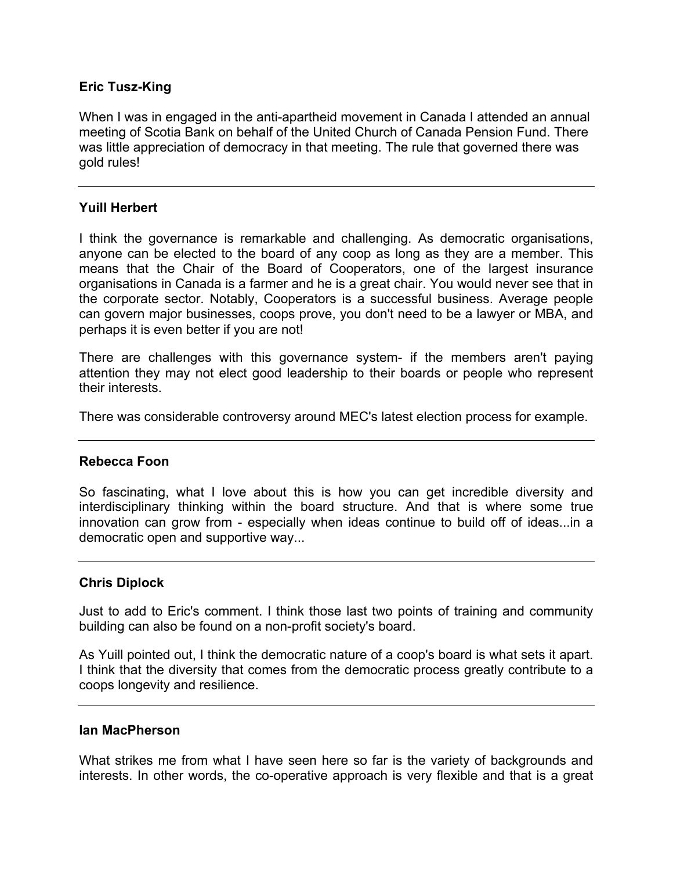## **Eric Tusz-King**

When I was in engaged in the anti-apartheid movement in Canada I attended an annual meeting of Scotia Bank on behalf of the United Church of Canada Pension Fund. There was little appreciation of democracy in that meeting. The rule that governed there was gold rules!

### **Yuill Herbert**

I think the governance is remarkable and challenging. As democratic organisations, anyone can be elected to the board of any coop as long as they are a member. This means that the Chair of the Board of Cooperators, one of the largest insurance organisations in Canada is a farmer and he is a great chair. You would never see that in the corporate sector. Notably, Cooperators is a successful business. Average people can govern major businesses, coops prove, you don't need to be a lawyer or MBA, and perhaps it is even better if you are not!

There are challenges with this governance system- if the members aren't paying attention they may not elect good leadership to their boards or people who represent their interests.

There was considerable controversy around MEC's latest election process for example.

### **Rebecca Foon**

So fascinating, what I love about this is how you can get incredible diversity and interdisciplinary thinking within the board structure. And that is where some true innovation can grow from - especially when ideas continue to build off of ideas...in a democratic open and supportive way...

### **Chris Diplock**

Just to add to Eric's comment. I think those last two points of training and community building can also be found on a non-profit society's board.

As Yuill pointed out, I think the democratic nature of a coop's board is what sets it apart. I think that the diversity that comes from the democratic process greatly contribute to a coops longevity and resilience.

### **Ian MacPherson**

What strikes me from what I have seen here so far is the variety of backgrounds and interests. In other words, the co-operative approach is very flexible and that is a great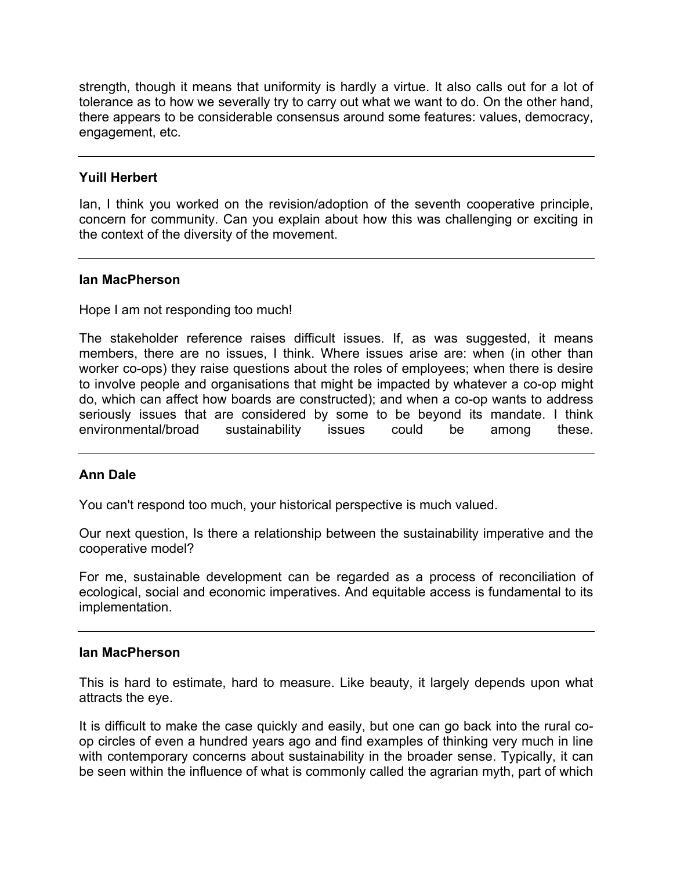strength, though it means that uniformity is hardly a virtue. It also calls out for a lot of tolerance as to how we severally try to carry out what we want to do. On the other hand, there appears to be considerable consensus around some features: values, democracy, engagement, etc.

## **Yuill Herbert**

Ian, I think you worked on the revision/adoption of the seventh cooperative principle, concern for community. Can you explain about how this was challenging or exciting in the context of the diversity of the movement.

### **Ian MacPherson**

Hope I am not responding too much!

The stakeholder reference raises difficult issues. If, as was suggested, it means members, there are no issues, I think. Where issues arise are: when (in other than worker co-ops) they raise questions about the roles of employees; when there is desire to involve people and organisations that might be impacted by whatever a co-op might do, which can affect how boards are constructed); and when a co-op wants to address seriously issues that are considered by some to be beyond its mandate. I think environmental/broad sustainability issues could be among these.

### **Ann Dale**

You can't respond too much, your historical perspective is much valued.

Our next question, Is there a relationship between the sustainability imperative and the cooperative model?

For me, sustainable development can be regarded as a process of reconciliation of ecological, social and economic imperatives. And equitable access is fundamental to its implementation.

### **Ian MacPherson**

This is hard to estimate, hard to measure. Like beauty, it largely depends upon what attracts the eye.

It is difficult to make the case quickly and easily, but one can go back into the rural coop circles of even a hundred years ago and find examples of thinking very much in line with contemporary concerns about sustainability in the broader sense. Typically, it can be seen within the influence of what is commonly called the agrarian myth, part of which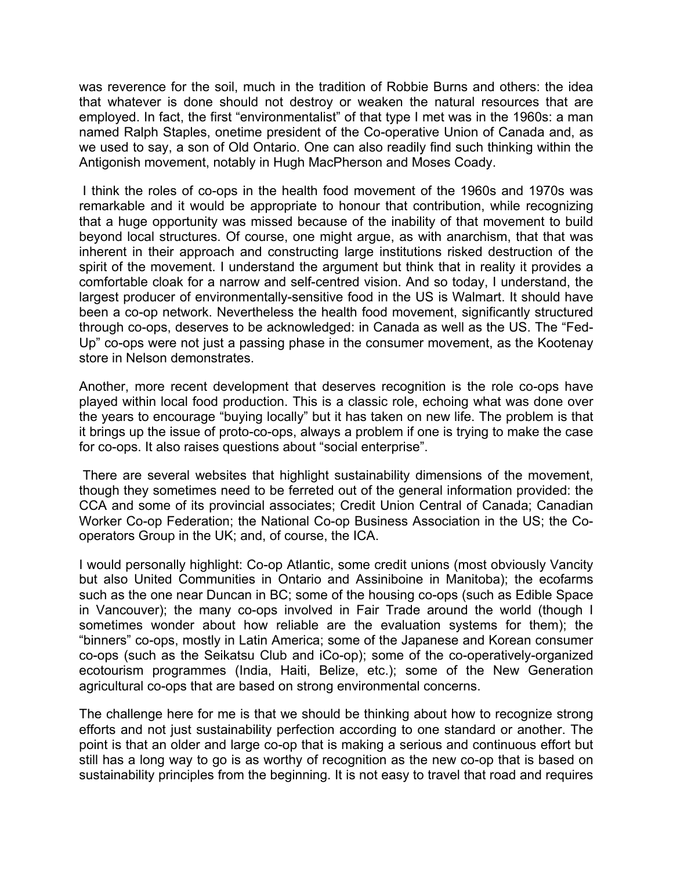was reverence for the soil, much in the tradition of Robbie Burns and others: the idea that whatever is done should not destroy or weaken the natural resources that are employed. In fact, the first "environmentalist" of that type I met was in the 1960s: a man named Ralph Staples, onetime president of the Co-operative Union of Canada and, as we used to say, a son of Old Ontario. One can also readily find such thinking within the Antigonish movement, notably in Hugh MacPherson and Moses Coady.

I think the roles of co-ops in the health food movement of the 1960s and 1970s was remarkable and it would be appropriate to honour that contribution, while recognizing that a huge opportunity was missed because of the inability of that movement to build beyond local structures. Of course, one might argue, as with anarchism, that that was inherent in their approach and constructing large institutions risked destruction of the spirit of the movement. I understand the argument but think that in reality it provides a comfortable cloak for a narrow and self-centred vision. And so today, I understand, the largest producer of environmentally-sensitive food in the US is Walmart. It should have been a co-op network. Nevertheless the health food movement, significantly structured through co-ops, deserves to be acknowledged: in Canada as well as the US. The "Fed-Up" co-ops were not just a passing phase in the consumer movement, as the Kootenay store in Nelson demonstrates.

Another, more recent development that deserves recognition is the role co-ops have played within local food production. This is a classic role, echoing what was done over the years to encourage "buying locally" but it has taken on new life. The problem is that it brings up the issue of proto-co-ops, always a problem if one is trying to make the case for co-ops. It also raises questions about "social enterprise".

There are several websites that highlight sustainability dimensions of the movement, though they sometimes need to be ferreted out of the general information provided: the CCA and some of its provincial associates; Credit Union Central of Canada; Canadian Worker Co-op Federation; the National Co-op Business Association in the US; the Cooperators Group in the UK; and, of course, the ICA.

I would personally highlight: Co-op Atlantic, some credit unions (most obviously Vancity but also United Communities in Ontario and Assiniboine in Manitoba); the ecofarms such as the one near Duncan in BC; some of the housing co-ops (such as Edible Space in Vancouver); the many co-ops involved in Fair Trade around the world (though I sometimes wonder about how reliable are the evaluation systems for them); the "binners" co-ops, mostly in Latin America; some of the Japanese and Korean consumer co-ops (such as the Seikatsu Club and iCo-op); some of the co-operatively-organized ecotourism programmes (India, Haiti, Belize, etc.); some of the New Generation agricultural co-ops that are based on strong environmental concerns.

The challenge here for me is that we should be thinking about how to recognize strong efforts and not just sustainability perfection according to one standard or another. The point is that an older and large co-op that is making a serious and continuous effort but still has a long way to go is as worthy of recognition as the new co-op that is based on sustainability principles from the beginning. It is not easy to travel that road and requires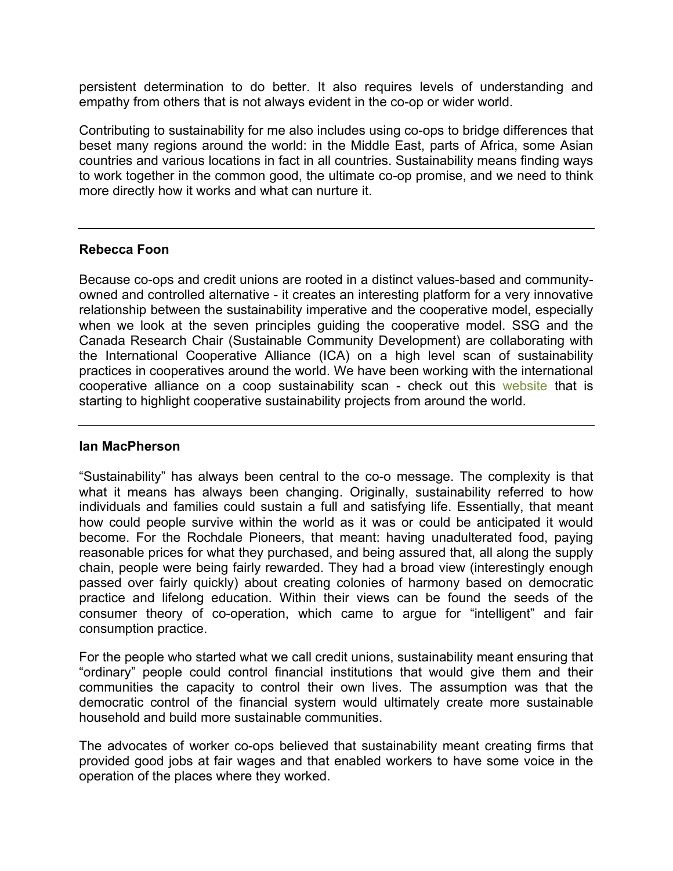persistent determination to do better. It also requires levels of understanding and empathy from others that is not always evident in the co-op or wider world.

Contributing to sustainability for me also includes using co-ops to bridge differences that beset many regions around the world: in the Middle East, parts of Africa, some Asian countries and various locations in fact in all countries. Sustainability means finding ways to work together in the common good, the ultimate co-op promise, and we need to think more directly how it works and what can nurture it.

### **Rebecca Foon**

Because co-ops and credit unions are rooted in a distinct values-based and communityowned and controlled alternative - it creates an interesting platform for a very innovative relationship between the sustainability imperative and the cooperative model, especially when we look at the seven principles guiding the cooperative model. SSG and the Canada Research Chair (Sustainable Community Development) are collaborating with the International Cooperative Alliance (ICA) on a high level scan of sustainability practices in cooperatives around the world. We have been working with the international cooperative alliance on a coop sustainability scan - check out this [website](http://www.sustainability.coop/) that is starting to highlight cooperative sustainability projects from around the world.

### **Ian MacPherson**

"Sustainability" has always been central to the co-o message. The complexity is that what it means has always been changing. Originally, sustainability referred to how individuals and families could sustain a full and satisfying life. Essentially, that meant how could people survive within the world as it was or could be anticipated it would become. For the Rochdale Pioneers, that meant: having unadulterated food, paying reasonable prices for what they purchased, and being assured that, all along the supply chain, people were being fairly rewarded. They had a broad view (interestingly enough passed over fairly quickly) about creating colonies of harmony based on democratic practice and lifelong education. Within their views can be found the seeds of the consumer theory of co-operation, which came to argue for "intelligent" and fair consumption practice.

For the people who started what we call credit unions, sustainability meant ensuring that "ordinary" people could control financial institutions that would give them and their communities the capacity to control their own lives. The assumption was that the democratic control of the financial system would ultimately create more sustainable household and build more sustainable communities.

The advocates of worker co-ops believed that sustainability meant creating firms that provided good jobs at fair wages and that enabled workers to have some voice in the operation of the places where they worked.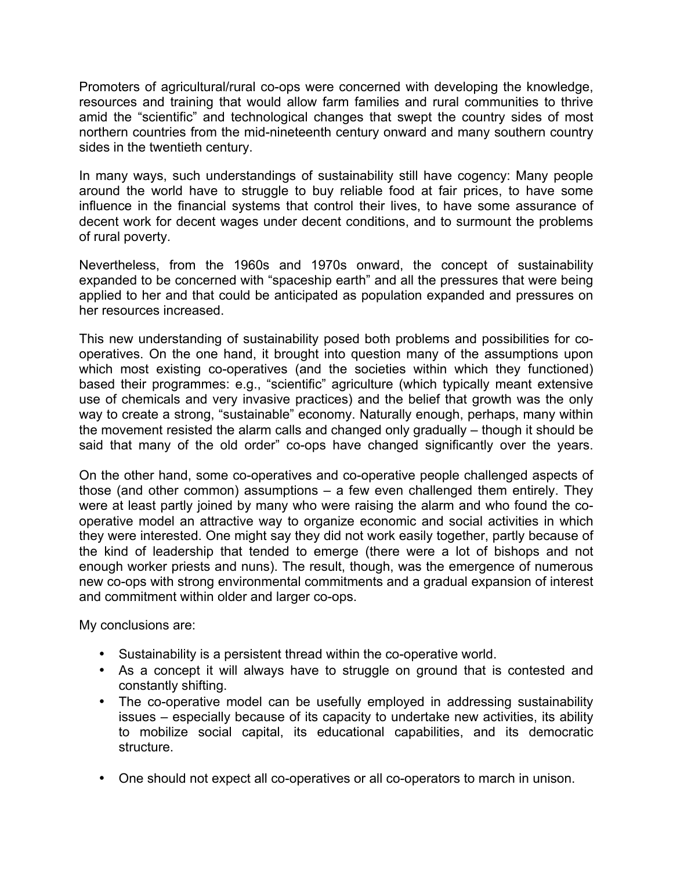Promoters of agricultural/rural co-ops were concerned with developing the knowledge, resources and training that would allow farm families and rural communities to thrive amid the "scientific" and technological changes that swept the country sides of most northern countries from the mid-nineteenth century onward and many southern country sides in the twentieth century.

In many ways, such understandings of sustainability still have cogency: Many people around the world have to struggle to buy reliable food at fair prices, to have some influence in the financial systems that control their lives, to have some assurance of decent work for decent wages under decent conditions, and to surmount the problems of rural poverty.

Nevertheless, from the 1960s and 1970s onward, the concept of sustainability expanded to be concerned with "spaceship earth" and all the pressures that were being applied to her and that could be anticipated as population expanded and pressures on her resources increased.

This new understanding of sustainability posed both problems and possibilities for cooperatives. On the one hand, it brought into question many of the assumptions upon which most existing co-operatives (and the societies within which they functioned) based their programmes: e.g., "scientific" agriculture (which typically meant extensive use of chemicals and very invasive practices) and the belief that growth was the only way to create a strong, "sustainable" economy. Naturally enough, perhaps, many within the movement resisted the alarm calls and changed only gradually – though it should be said that many of the old order" co-ops have changed significantly over the years.

On the other hand, some co-operatives and co-operative people challenged aspects of those (and other common) assumptions – a few even challenged them entirely. They were at least partly joined by many who were raising the alarm and who found the cooperative model an attractive way to organize economic and social activities in which they were interested. One might say they did not work easily together, partly because of the kind of leadership that tended to emerge (there were a lot of bishops and not enough worker priests and nuns). The result, though, was the emergence of numerous new co-ops with strong environmental commitments and a gradual expansion of interest and commitment within older and larger co-ops.

My conclusions are:

- Sustainability is a persistent thread within the co-operative world.
- As a concept it will always have to struggle on ground that is contested and constantly shifting.
- The co-operative model can be usefully employed in addressing sustainability issues – especially because of its capacity to undertake new activities, its ability to mobilize social capital, its educational capabilities, and its democratic structure.
- One should not expect all co-operatives or all co-operators to march in unison.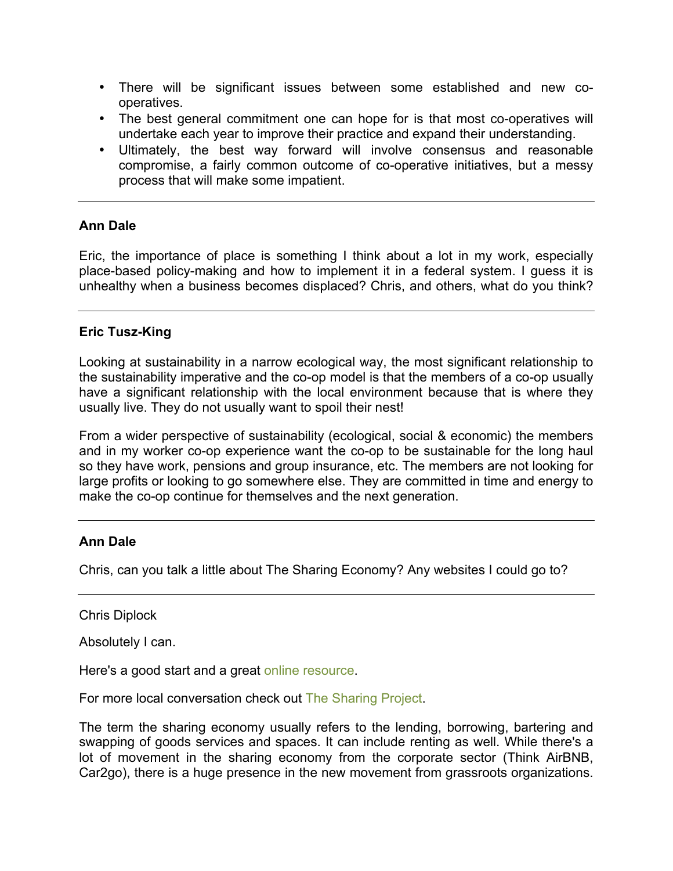- There will be significant issues between some established and new cooperatives.
- The best general commitment one can hope for is that most co-operatives will undertake each year to improve their practice and expand their understanding.
- Ultimately, the best way forward will involve consensus and reasonable compromise, a fairly common outcome of co-operative initiatives, but a messy process that will make some impatient.

## **Ann Dale**

Eric, the importance of place is something I think about a lot in my work, especially place-based policy-making and how to implement it in a federal system. I guess it is unhealthy when a business becomes displaced? Chris, and others, what do you think?

## **Eric Tusz-King**

Looking at sustainability in a narrow ecological way, the most significant relationship to the sustainability imperative and the co-op model is that the members of a co-op usually have a significant relationship with the local environment because that is where they usually live. They do not usually want to spoil their nest!

From a wider perspective of sustainability (ecological, social & economic) the members and in my worker co-op experience want the co-op to be sustainable for the long haul so they have work, pensions and group insurance, etc. The members are not looking for large profits or looking to go somewhere else. They are committed in time and energy to make the co-op continue for themselves and the next generation.

## **Ann Dale**

Chris, can you talk a little about The Sharing Economy? Any websites I could go to?

Chris Diplock

Absolutely I can.

Here's a good start and a great [online resource.](http://www.shareable.net/how-to-share)

For more local conversation check out [The Sharing Project](www.thesharingproject.ca).

The term the sharing economy usually refers to the lending, borrowing, bartering and swapping of goods services and spaces. It can include renting as well. While there's a lot of movement in the sharing economy from the corporate sector (Think AirBNB, Car2go), there is a huge presence in the new movement from grassroots organizations.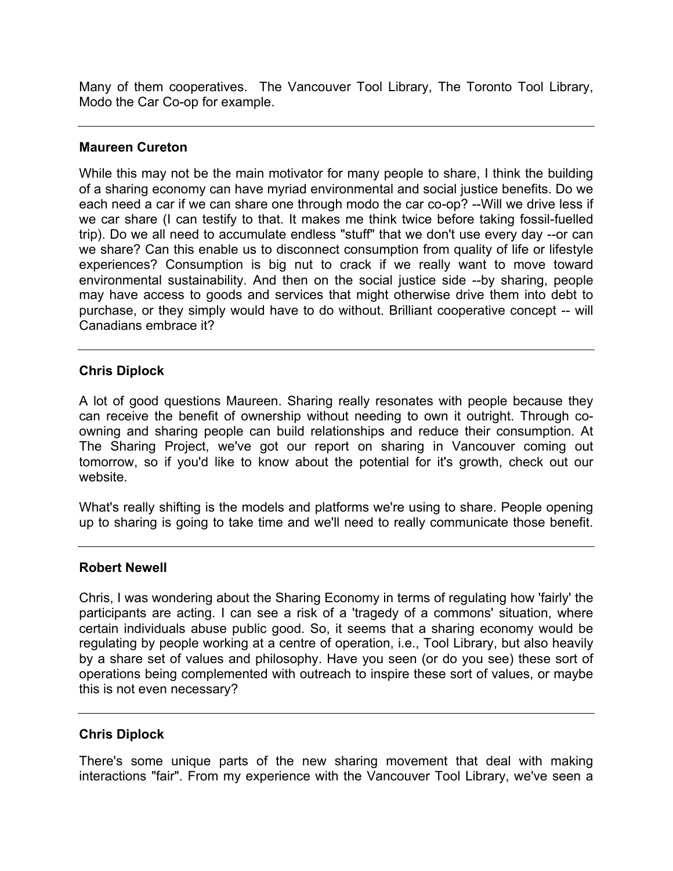Many of them cooperatives. The Vancouver Tool Library, The Toronto Tool Library, Modo the Car Co-op for example.

### **Maureen Cureton**

While this may not be the main motivator for many people to share, I think the building of a sharing economy can have myriad environmental and social justice benefits. Do we each need a car if we can share one through modo the car co-op? --Will we drive less if we car share (I can testify to that. It makes me think twice before taking fossil-fuelled trip). Do we all need to accumulate endless "stuff" that we don't use every day --or can we share? Can this enable us to disconnect consumption from quality of life or lifestyle experiences? Consumption is big nut to crack if we really want to move toward environmental sustainability. And then on the social justice side --by sharing, people may have access to goods and services that might otherwise drive them into debt to purchase, or they simply would have to do without. Brilliant cooperative concept -- will Canadians embrace it?

## **Chris Diplock**

A lot of good questions Maureen. Sharing really resonates with people because they can receive the benefit of ownership without needing to own it outright. Through coowning and sharing people can build relationships and reduce their consumption. At The Sharing Project, we've got our report on sharing in Vancouver coming out tomorrow, so if you'd like to know about the potential for it's growth, check out our website.

What's really shifting is the models and platforms we're using to share. People opening up to sharing is going to take time and we'll need to really communicate those benefit.

### **Robert Newell**

Chris, I was wondering about the Sharing Economy in terms of regulating how 'fairly' the participants are acting. I can see a risk of a 'tragedy of a commons' situation, where certain individuals abuse public good. So, it seems that a sharing economy would be regulating by people working at a centre of operation, i.e., Tool Library, but also heavily by a share set of values and philosophy. Have you seen (or do you see) these sort of operations being complemented with outreach to inspire these sort of values, or maybe this is not even necessary?

### **Chris Diplock**

There's some unique parts of the new sharing movement that deal with making interactions "fair". From my experience with the Vancouver Tool Library, we've seen a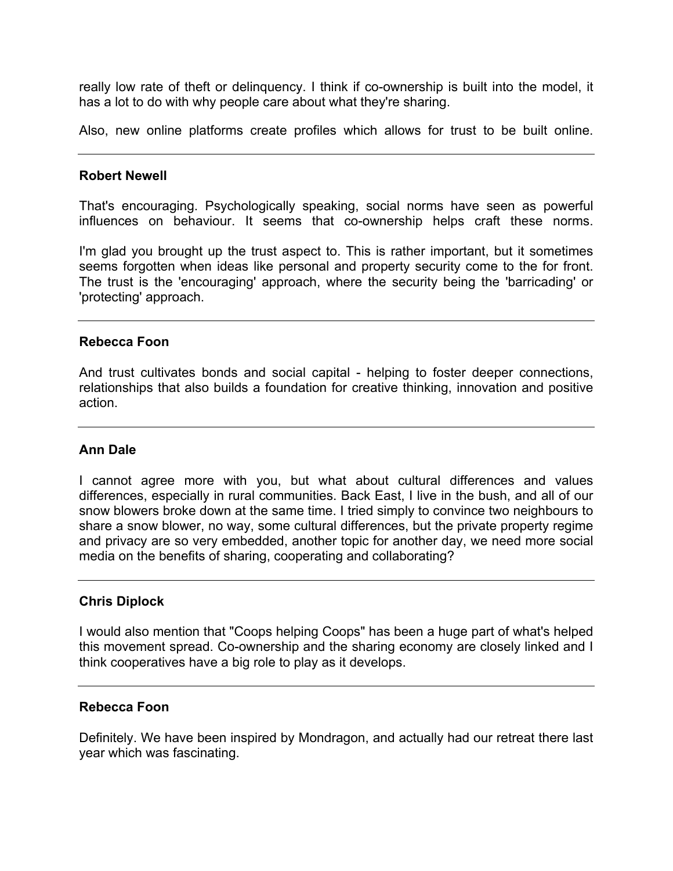really low rate of theft or delinquency. I think if co-ownership is built into the model, it has a lot to do with why people care about what they're sharing.

Also, new online platforms create profiles which allows for trust to be built online.

### **Robert Newell**

That's encouraging. Psychologically speaking, social norms have seen as powerful influences on behaviour. It seems that co-ownership helps craft these norms.

I'm glad you brought up the trust aspect to. This is rather important, but it sometimes seems forgotten when ideas like personal and property security come to the for front. The trust is the 'encouraging' approach, where the security being the 'barricading' or 'protecting' approach.

### **Rebecca Foon**

And trust cultivates bonds and social capital - helping to foster deeper connections, relationships that also builds a foundation for creative thinking, innovation and positive action.

### **Ann Dale**

I cannot agree more with you, but what about cultural differences and values differences, especially in rural communities. Back East, I live in the bush, and all of our snow blowers broke down at the same time. I tried simply to convince two neighbours to share a snow blower, no way, some cultural differences, but the private property regime and privacy are so very embedded, another topic for another day, we need more social media on the benefits of sharing, cooperating and collaborating?

### **Chris Diplock**

I would also mention that "Coops helping Coops" has been a huge part of what's helped this movement spread. Co-ownership and the sharing economy are closely linked and I think cooperatives have a big role to play as it develops.

### **Rebecca Foon**

Definitely. We have been inspired by Mondragon, and actually had our retreat there last year which was fascinating.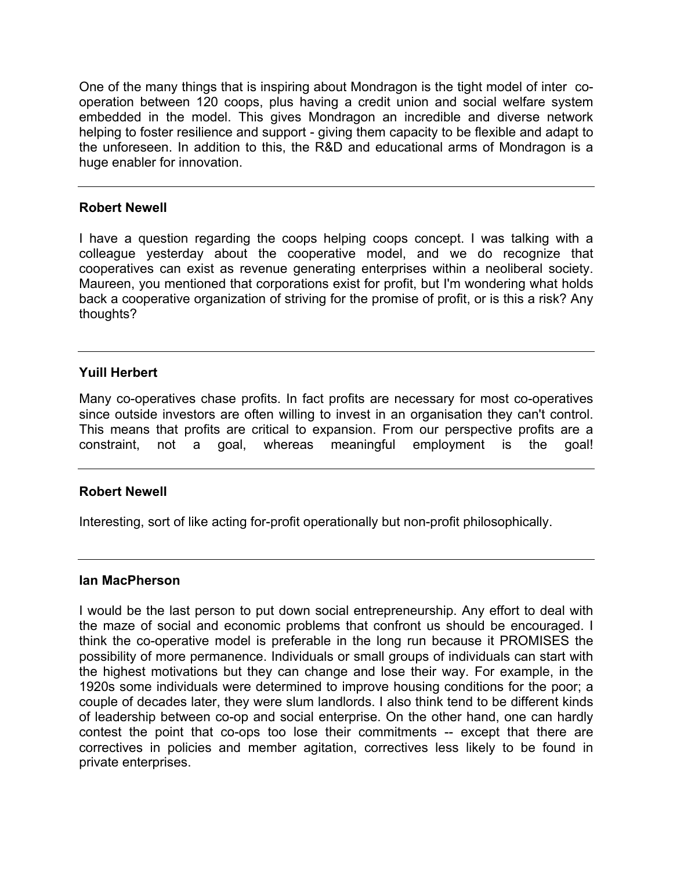One of the many things that is inspiring about Mondragon is the tight model of inter cooperation between 120 coops, plus having a credit union and social welfare system embedded in the model. This gives Mondragon an incredible and diverse network helping to foster resilience and support - giving them capacity to be flexible and adapt to the unforeseen. In addition to this, the R&D and educational arms of Mondragon is a huge enabler for innovation.

## **Robert Newell**

I have a question regarding the coops helping coops concept. I was talking with a colleague yesterday about the cooperative model, and we do recognize that cooperatives can exist as revenue generating enterprises within a neoliberal society. Maureen, you mentioned that corporations exist for profit, but I'm wondering what holds back a cooperative organization of striving for the promise of profit, or is this a risk? Any thoughts?

## **Yuill Herbert**

Many co-operatives chase profits. In fact profits are necessary for most co-operatives since outside investors are often willing to invest in an organisation they can't control. This means that profits are critical to expansion. From our perspective profits are a constraint, not a goal, whereas meaningful employment is the goal!

# **Robert Newell**

Interesting, sort of like acting for-profit operationally but non-profit philosophically.

## **Ian MacPherson**

I would be the last person to put down social entrepreneurship. Any effort to deal with the maze of social and economic problems that confront us should be encouraged. I think the co-operative model is preferable in the long run because it PROMISES the possibility of more permanence. Individuals or small groups of individuals can start with the highest motivations but they can change and lose their way. For example, in the 1920s some individuals were determined to improve housing conditions for the poor; a couple of decades later, they were slum landlords. I also think tend to be different kinds of leadership between co-op and social enterprise. On the other hand, one can hardly contest the point that co-ops too lose their commitments -- except that there are correctives in policies and member agitation, correctives less likely to be found in private enterprises.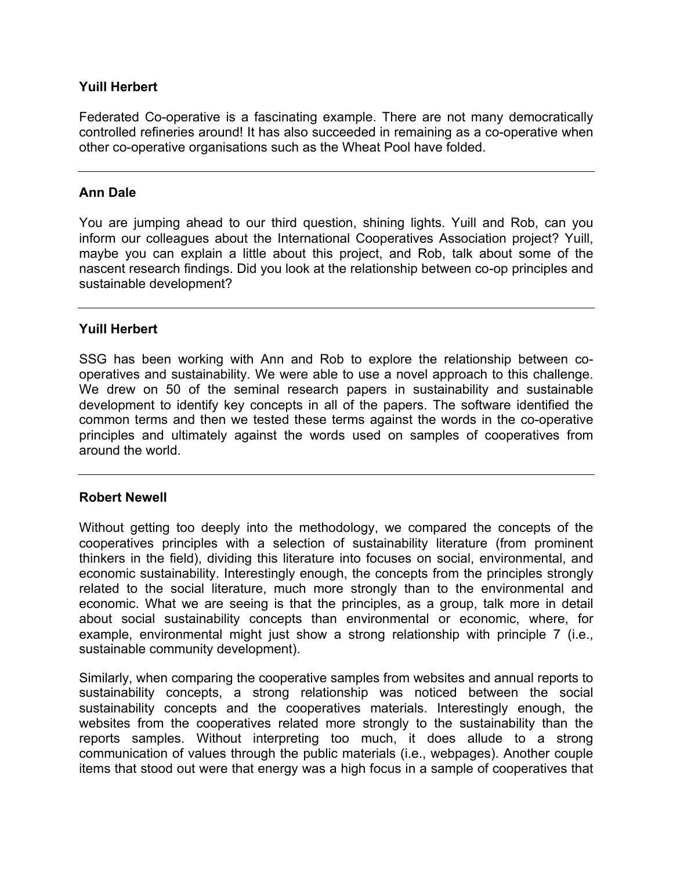## **Yuill Herbert**

Federated Co-operative is a fascinating example. There are not many democratically controlled refineries around! It has also succeeded in remaining as a co-operative when other co-operative organisations such as the Wheat Pool have folded.

## **Ann Dale**

You are jumping ahead to our third question, shining lights. Yuill and Rob, can you inform our colleagues about the International Cooperatives Association project? Yuill, maybe you can explain a little about this project, and Rob, talk about some of the nascent research findings. Did you look at the relationship between co-op principles and sustainable development?

## **Yuill Herbert**

SSG has been working with Ann and Rob to explore the relationship between cooperatives and sustainability. We were able to use a novel approach to this challenge. We drew on 50 of the seminal research papers in sustainability and sustainable development to identify key concepts in all of the papers. The software identified the common terms and then we tested these terms against the words in the co-operative principles and ultimately against the words used on samples of cooperatives from around the world.

## **Robert Newell**

Without getting too deeply into the methodology, we compared the concepts of the cooperatives principles with a selection of sustainability literature (from prominent thinkers in the field), dividing this literature into focuses on social, environmental, and economic sustainability. Interestingly enough, the concepts from the principles strongly related to the social literature, much more strongly than to the environmental and economic. What we are seeing is that the principles, as a group, talk more in detail about social sustainability concepts than environmental or economic, where, for example, environmental might just show a strong relationship with principle 7 (i.e., sustainable community development).

Similarly, when comparing the cooperative samples from websites and annual reports to sustainability concepts, a strong relationship was noticed between the social sustainability concepts and the cooperatives materials. Interestingly enough, the websites from the cooperatives related more strongly to the sustainability than the reports samples. Without interpreting too much, it does allude to a strong communication of values through the public materials (i.e., webpages). Another couple items that stood out were that energy was a high focus in a sample of cooperatives that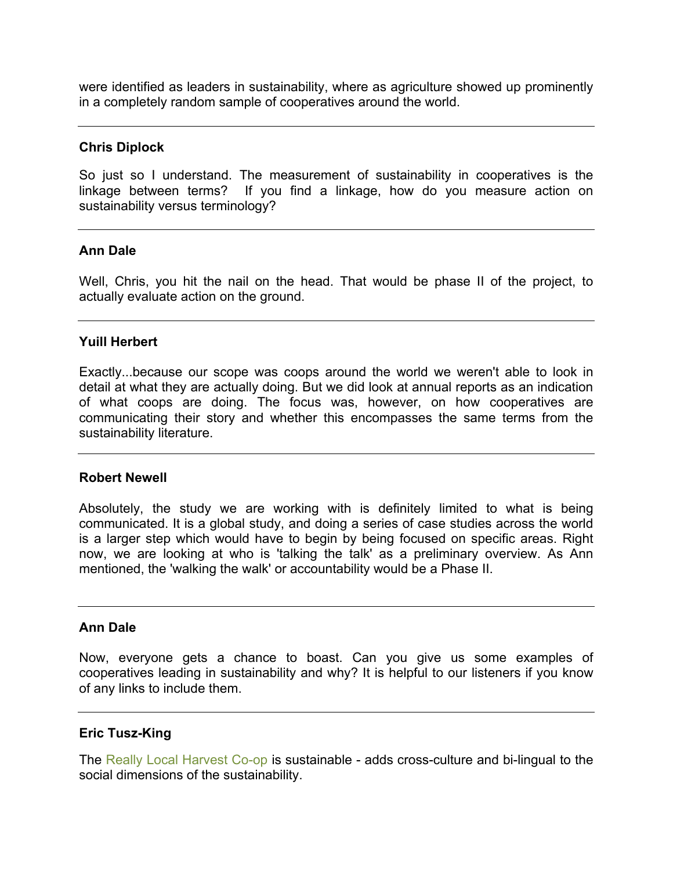were identified as leaders in sustainability, where as agriculture showed up prominently in a completely random sample of cooperatives around the world.

### **Chris Diplock**

So just so I understand. The measurement of sustainability in cooperatives is the linkage between terms? If you find a linkage, how do you measure action on sustainability versus terminology?

### **Ann Dale**

Well, Chris, you hit the nail on the head. That would be phase II of the project, to actually evaluate action on the ground.

### **Yuill Herbert**

Exactly...because our scope was coops around the world we weren't able to look in detail at what they are actually doing. But we did look at annual reports as an indication of what coops are doing. The focus was, however, on how cooperatives are communicating their story and whether this encompasses the same terms from the sustainability literature.

### **Robert Newell**

Absolutely, the study we are working with is definitely limited to what is being communicated. It is a global study, and doing a series of case studies across the world is a larger step which would have to begin by being focused on specific areas. Right now, we are looking at who is 'talking the talk' as a preliminary overview. As Ann mentioned, the 'walking the walk' or accountability would be a Phase II.

### **Ann Dale**

Now, everyone gets a chance to boast. Can you give us some examples of cooperatives leading in sustainability and why? It is helpful to our listeners if you know of any links to include them.

### **Eric Tusz-King**

The [Really Local Harvest Co-op](http://recoltedecheznous.com/en/page/about_us/) is sustainable - adds cross-culture and bi-lingual to the social dimensions of the sustainability.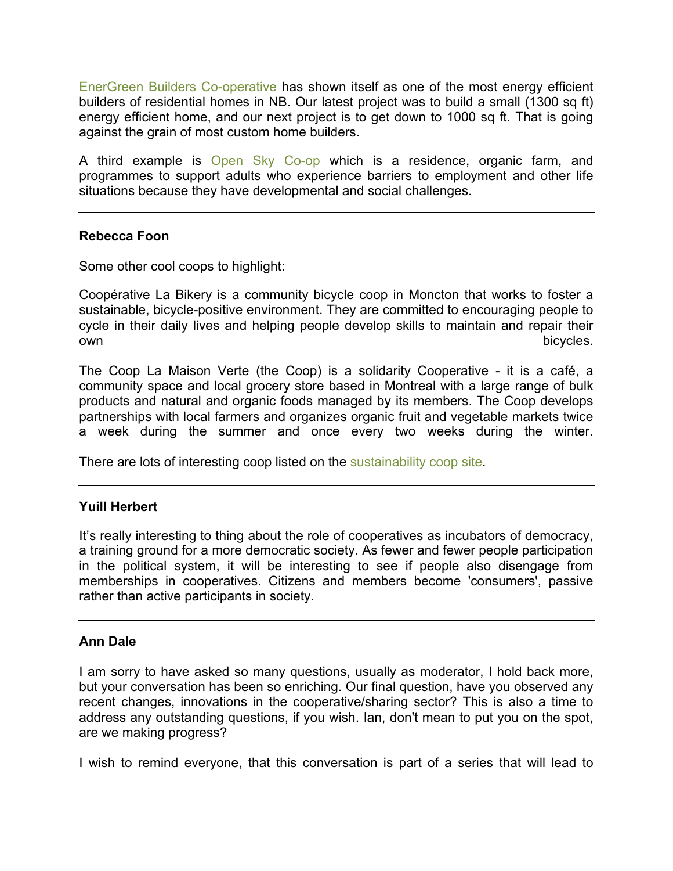[EnerGreen Builders Co-operative](http://www.energreen.coop/) has shown itself as one of the most energy efficient builders of residential homes in NB. Our latest project was to build a small (1300 sq ft) energy efficient home, and our next project is to get down to 1000 sq ft. That is going against the grain of most custom home builders.

A third example is [Open Sky Co-op](http://openskyco-op.ca/about-us/) which is a residence, organic farm, and programmes to support adults who experience barriers to employment and other life situations because they have developmental and social challenges.

## **Rebecca Foon**

Some other cool coops to highlight:

Coopérative La Bikery is a community bicycle coop in Moncton that works to foster a sustainable, bicycle-positive environment. They are committed to encouraging people to cycle in their daily lives and helping people develop skills to maintain and repair their own bicycles.

The Coop La Maison Verte (the Coop) is a solidarity Cooperative - it is a café, a community space and local grocery store based in Montreal with a large range of bulk products and natural and organic foods managed by its members. The Coop develops partnerships with local farmers and organizes organic fruit and vegetable markets twice a week during the summer and once every two weeks during the winter.

There are lots of interesting coop listed on the [sustainability coop site.](http://www.sustainability.coop/)

## **Yuill Herbert**

It's really interesting to thing about the role of cooperatives as incubators of democracy, a training ground for a more democratic society. As fewer and fewer people participation in the political system, it will be interesting to see if people also disengage from memberships in cooperatives. Citizens and members become 'consumers', passive rather than active participants in society.

### **Ann Dale**

I am sorry to have asked so many questions, usually as moderator, I hold back more, but your conversation has been so enriching. Our final question, have you observed any recent changes, innovations in the cooperative/sharing sector? This is also a time to address any outstanding questions, if you wish. Ian, don't mean to put you on the spot, are we making progress?

I wish to remind everyone, that this conversation is part of a series that will lead to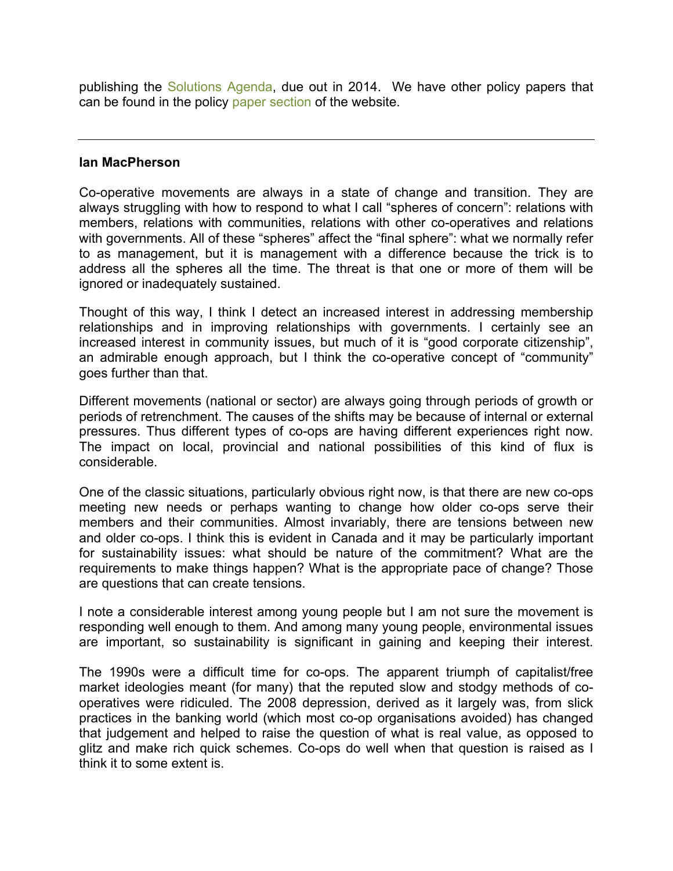publishing the [Solutions Agenda,](http://crcresearch.org/solutions-agenda) due out in 2014. We have other policy papers that can be found in the policy [paper section](http://crcresearch.org/solutions-agenda/policy-documents) of the website.

### **Ian MacPherson**

Co-operative movements are always in a state of change and transition. They are always struggling with how to respond to what I call "spheres of concern": relations with members, relations with communities, relations with other co-operatives and relations with governments. All of these "spheres" affect the "final sphere": what we normally refer to as management, but it is management with a difference because the trick is to address all the spheres all the time. The threat is that one or more of them will be ignored or inadequately sustained.

Thought of this way, I think I detect an increased interest in addressing membership relationships and in improving relationships with governments. I certainly see an increased interest in community issues, but much of it is "good corporate citizenship", an admirable enough approach, but I think the co-operative concept of "community" goes further than that.

Different movements (national or sector) are always going through periods of growth or periods of retrenchment. The causes of the shifts may be because of internal or external pressures. Thus different types of co-ops are having different experiences right now. The impact on local, provincial and national possibilities of this kind of flux is considerable.

One of the classic situations, particularly obvious right now, is that there are new co-ops meeting new needs or perhaps wanting to change how older co-ops serve their members and their communities. Almost invariably, there are tensions between new and older co-ops. I think this is evident in Canada and it may be particularly important for sustainability issues: what should be nature of the commitment? What are the requirements to make things happen? What is the appropriate pace of change? Those are questions that can create tensions.

I note a considerable interest among young people but I am not sure the movement is responding well enough to them. And among many young people, environmental issues are important, so sustainability is significant in gaining and keeping their interest.

The 1990s were a difficult time for co-ops. The apparent triumph of capitalist/free market ideologies meant (for many) that the reputed slow and stodgy methods of cooperatives were ridiculed. The 2008 depression, derived as it largely was, from slick practices in the banking world (which most co-op organisations avoided) has changed that judgement and helped to raise the question of what is real value, as opposed to glitz and make rich quick schemes. Co-ops do well when that question is raised as I think it to some extent is.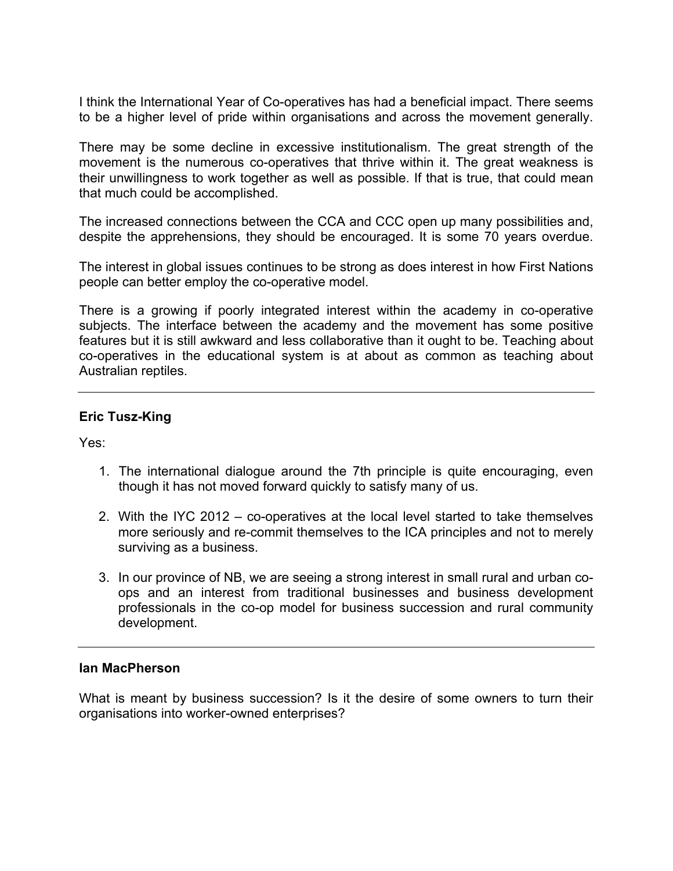I think the International Year of Co-operatives has had a beneficial impact. There seems to be a higher level of pride within organisations and across the movement generally.

There may be some decline in excessive institutionalism. The great strength of the movement is the numerous co-operatives that thrive within it. The great weakness is their unwillingness to work together as well as possible. If that is true, that could mean that much could be accomplished.

The increased connections between the CCA and CCC open up many possibilities and, despite the apprehensions, they should be encouraged. It is some 70 years overdue.

The interest in global issues continues to be strong as does interest in how First Nations people can better employ the co-operative model.

There is a growing if poorly integrated interest within the academy in co-operative subjects. The interface between the academy and the movement has some positive features but it is still awkward and less collaborative than it ought to be. Teaching about co-operatives in the educational system is at about as common as teaching about Australian reptiles.

## **Eric Tusz-King**

Yes:

- 1. The international dialogue around the 7th principle is quite encouraging, even though it has not moved forward quickly to satisfy many of us.
- 2. With the IYC 2012 co-operatives at the local level started to take themselves more seriously and re-commit themselves to the ICA principles and not to merely surviving as a business.
- 3. In our province of NB, we are seeing a strong interest in small rural and urban coops and an interest from traditional businesses and business development professionals in the co-op model for business succession and rural community development.

### **Ian MacPherson**

What is meant by business succession? Is it the desire of some owners to turn their organisations into worker-owned enterprises?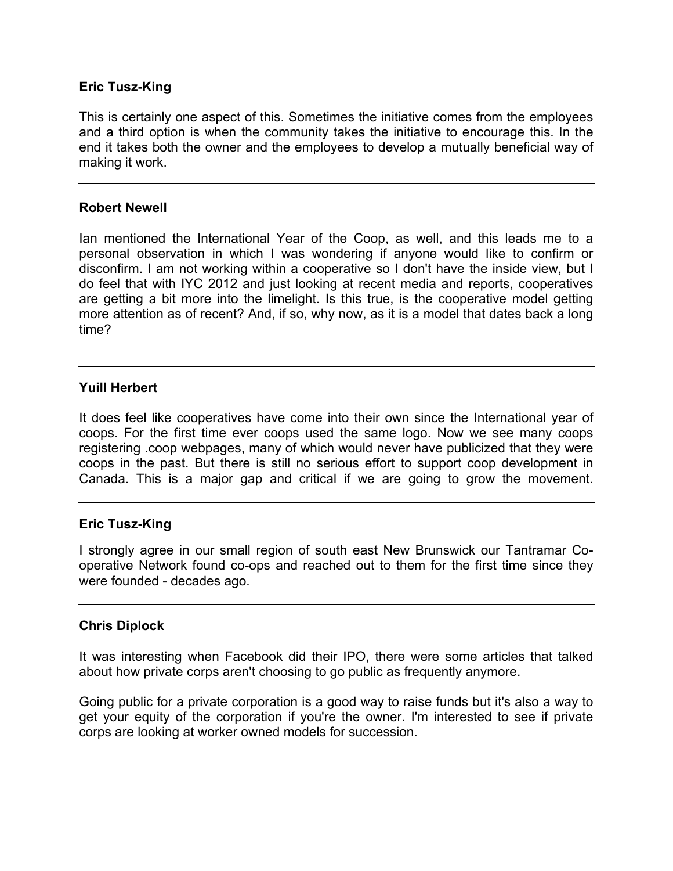## **Eric Tusz-King**

This is certainly one aspect of this. Sometimes the initiative comes from the employees and a third option is when the community takes the initiative to encourage this. In the end it takes both the owner and the employees to develop a mutually beneficial way of making it work.

### **Robert Newell**

Ian mentioned the International Year of the Coop, as well, and this leads me to a personal observation in which I was wondering if anyone would like to confirm or disconfirm. I am not working within a cooperative so I don't have the inside view, but I do feel that with IYC 2012 and just looking at recent media and reports, cooperatives are getting a bit more into the limelight. Is this true, is the cooperative model getting more attention as of recent? And, if so, why now, as it is a model that dates back a long time?

### **Yuill Herbert**

It does feel like cooperatives have come into their own since the International year of coops. For the first time ever coops used the same logo. Now we see many coops registering .coop webpages, many of which would never have publicized that they were coops in the past. But there is still no serious effort to support coop development in Canada. This is a major gap and critical if we are going to grow the movement.

### **Eric Tusz-King**

I strongly agree in our small region of south east New Brunswick our Tantramar Cooperative Network found co-ops and reached out to them for the first time since they were founded - decades ago.

### **Chris Diplock**

It was interesting when Facebook did their IPO, there were some articles that talked about how private corps aren't choosing to go public as frequently anymore.

Going public for a private corporation is a good way to raise funds but it's also a way to get your equity of the corporation if you're the owner. I'm interested to see if private corps are looking at worker owned models for succession.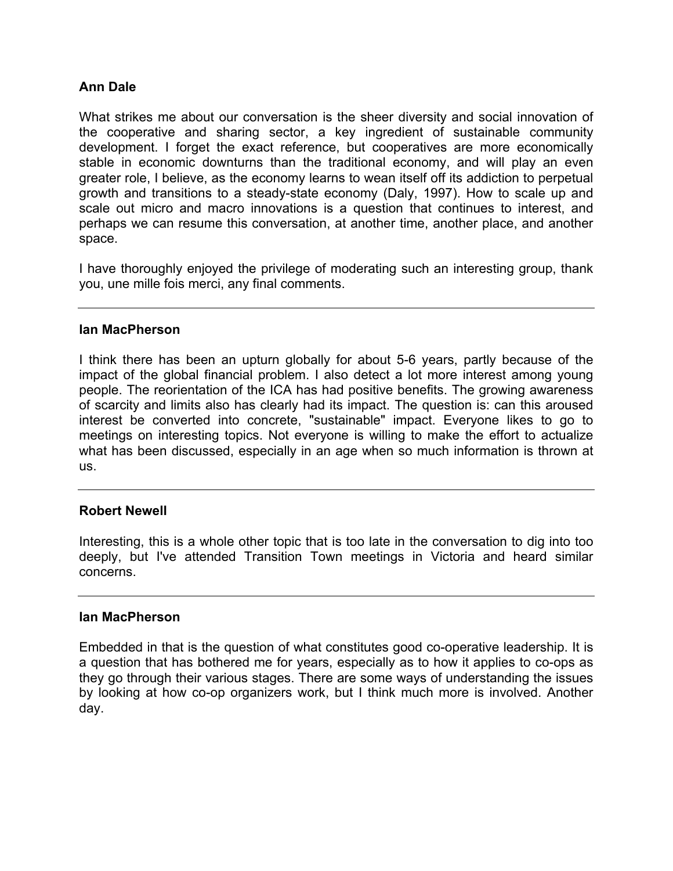## **Ann Dale**

What strikes me about our conversation is the sheer diversity and social innovation of the cooperative and sharing sector, a key ingredient of sustainable community development. I forget the exact reference, but cooperatives are more economically stable in economic downturns than the traditional economy, and will play an even greater role, I believe, as the economy learns to wean itself off its addiction to perpetual growth and transitions to a steady-state economy (Daly, 1997). How to scale up and scale out micro and macro innovations is a question that continues to interest, and perhaps we can resume this conversation, at another time, another place, and another space.

I have thoroughly enjoyed the privilege of moderating such an interesting group, thank you, une mille fois merci, any final comments.

### **Ian MacPherson**

I think there has been an upturn globally for about 5-6 years, partly because of the impact of the global financial problem. I also detect a lot more interest among young people. The reorientation of the ICA has had positive benefits. The growing awareness of scarcity and limits also has clearly had its impact. The question is: can this aroused interest be converted into concrete, "sustainable" impact. Everyone likes to go to meetings on interesting topics. Not everyone is willing to make the effort to actualize what has been discussed, especially in an age when so much information is thrown at us.

### **Robert Newell**

Interesting, this is a whole other topic that is too late in the conversation to dig into too deeply, but I've attended Transition Town meetings in Victoria and heard similar concerns.

### **Ian MacPherson**

Embedded in that is the question of what constitutes good co-operative leadership. It is a question that has bothered me for years, especially as to how it applies to co-ops as they go through their various stages. There are some ways of understanding the issues by looking at how co-op organizers work, but I think much more is involved. Another day.